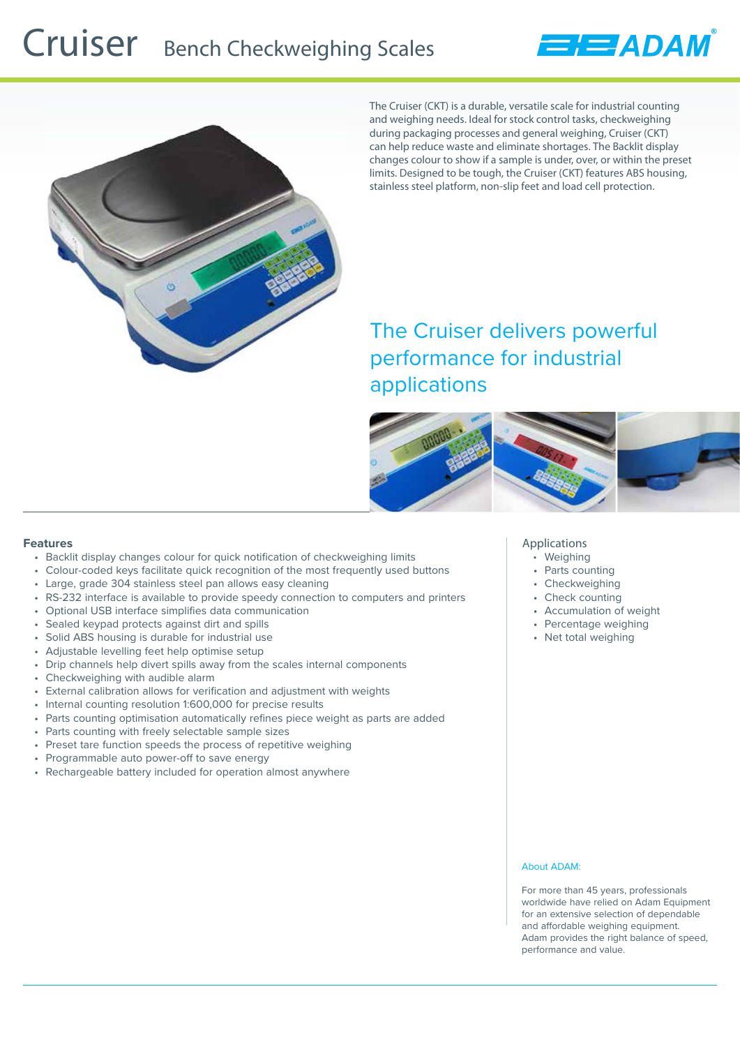## Cruiser Bench Checkweighing Scales





The Cruiser (CKT) is a durable, versatile scale for industrial counting and weighing needs. Ideal for stock control tasks, checkweighing during packaging processes and general weighing, Cruiser (CKT) can help reduce waste and eliminate shortages. The Backlit display changes colour to show if a sample is under, over, or within the preset limits. Designed to be tough, the Cruiser (CKT) features ABS housing, stainless steel platform, non-slip feet and load cell protection.

The Cruiser delivers powerful performance for industrial applications



## **Features**

- Backlit display changes colour for quick notification of checkweighing limits
- Colour-coded keys facilitate quick recognition of the most frequently used buttons
- Large, grade 304 stainless steel pan allows easy cleaning
- RS-232 interface is available to provide speedy connection to computers and printers
- Optional USB interface simplifies data communication
- Sealed keypad protects against dirt and spills
- Solid ABS housing is durable for industrial use
- Adjustable levelling feet help optimise setup
- Drip channels help divert spills away from the scales internal components
- Checkweighing with audible alarm
- External calibration allows for verification and adjustment with weights
- Internal counting resolution 1:600,000 for precise results
- Parts counting optimisation automatically refines piece weight as parts are added
- Parts counting with freely selectable sample sizes
- Preset tare function speeds the process of repetitive weighing
- Programmable auto power-off to save energy
- Rechargeable battery included for operation almost anywhere

#### **Applications**

- Weighing
- Parts counting
- Checkweighing
- Check counting
- Accumulation of weight
- Percentage weighing
- Net total weighing

### About ADAM:

For more than 45 years, professionals worldwide have relied on Adam Equipment for an extensive selection of dependable and affordable weighing equipment. Adam provides the right balance of speed, performance and value.